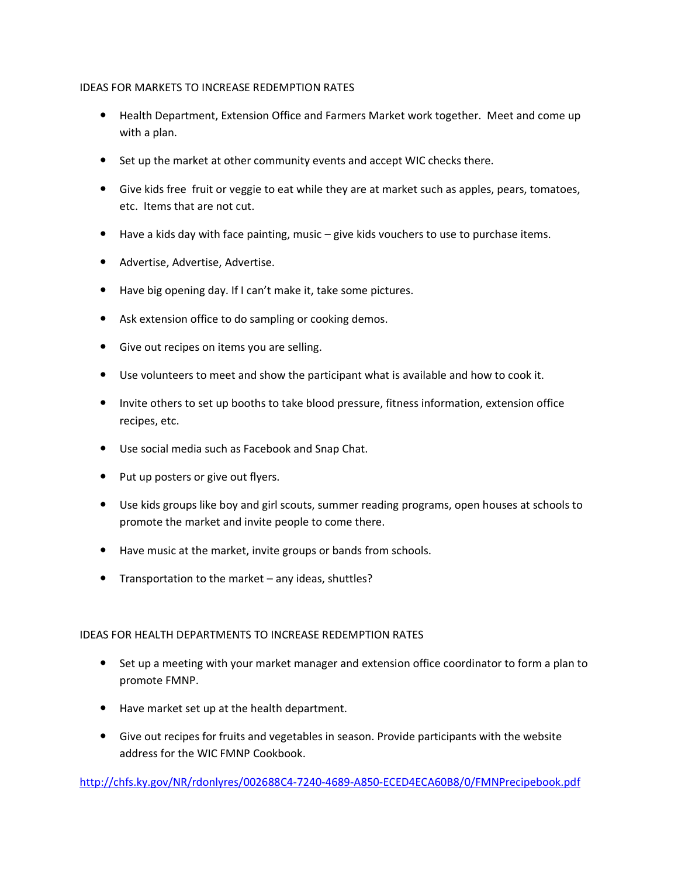## IDEAS FOR MARKETS TO INCREASE REDEMPTION RATES

- Health Department, Extension Office and Farmers Market work together. Meet and come up with a plan.
- Set up the market at other community events and accept WIC checks there.
- Give kids free fruit or veggie to eat while they are at market such as apples, pears, tomatoes, etc. Items that are not cut.
- Have a kids day with face painting, music give kids vouchers to use to purchase items.
- Advertise, Advertise, Advertise.
- Have big opening day. If I can't make it, take some pictures.
- Ask extension office to do sampling or cooking demos.
- **•** Give out recipes on items you are selling.
- Use volunteers to meet and show the participant what is available and how to cook it.
- Invite others to set up booths to take blood pressure, fitness information, extension office recipes, etc.
- Use social media such as Facebook and Snap Chat.
- Put up posters or give out flyers.
- Use kids groups like boy and girl scouts, summer reading programs, open houses at schools to promote the market and invite people to come there.
- Have music at the market, invite groups or bands from schools.
- Transportation to the market any ideas, shuttles?

## IDEAS FOR HEALTH DEPARTMENTS TO INCREASE REDEMPTION RATES

- Set up a meeting with your market manager and extension office coordinator to form a plan to promote FMNP.
- Have market set up at the health department.
- Give out recipes for fruits and vegetables in season. Provide participants with the website address for the WIC FMNP Cookbook.

<http://chfs.ky.gov/NR/rdonlyres/002688C4-7240-4689-A850-ECED4ECA60B8/0/FMNPrecipebook.pdf>